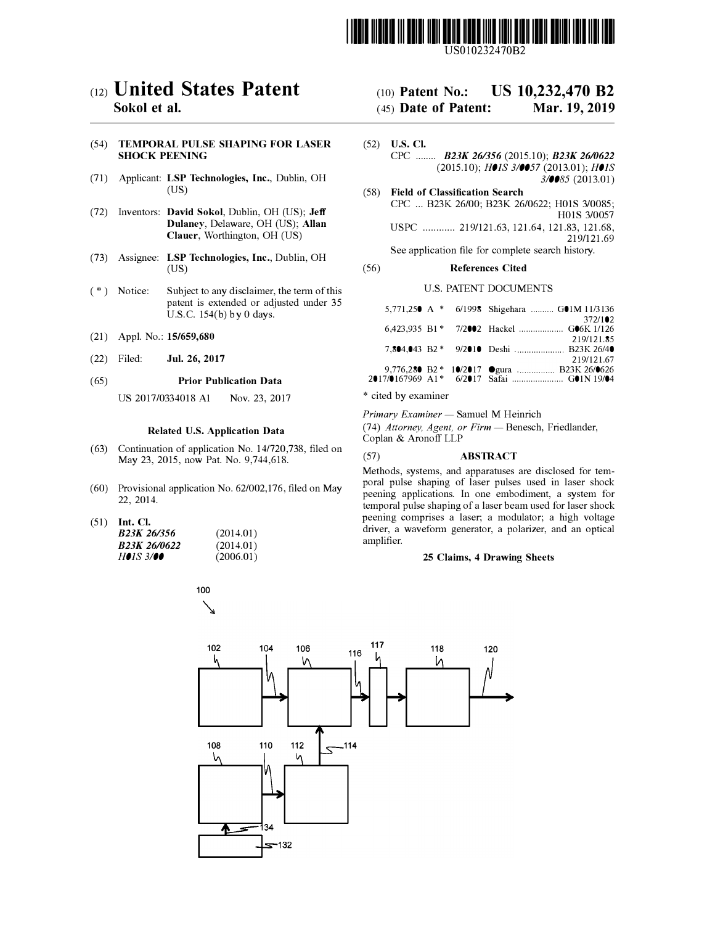

USO 102324 70B2

# c12) **United States Patent**

# **Sokol et al.**

# (54) **TEMPORAL PULSE SHAPING FOR LASER SHOCK PEENING**

- (71) Applicant: **LSP Technologies, Inc.,** Dublin, OH (US)
- (72) Inventors: **David Sokol,** Dublin, OH (US); **Jeff Dulaney,** Delaware, OH (US); **Allan Clauer,** Worthington, OH (US)
- (73) Assignee: **LSP Technologies, Inc.,** Dublin, OH (US)
- ( \*) Notice: Subject to any disclaimer, the term of this patent is extended or adjusted under 35 U.S.C. 154(b) by 0 days.
- (21) Appl. No.: **15/659,680**
- (22) Filed: **Jul. 26, 2017**

#### (65) **Prior Publication Data**

US 2017/0334018 Al Nov. 23, 2017

# **Related U.S. Application Data**

- (63) Continuation of application No. 14/720,738, filed on May 23, 2015, now Pat. No. 9,744,618.
- (60) Provisional application No. 62/002,176, filed on May 22, 2014.
- (51) **Int. Cl.**

| B <sub>23</sub> K 26/356  | (2014.01) |
|---------------------------|-----------|
| B <sub>23</sub> K 26/0622 | (2014.01) |
| <b>HOIS 3/00</b>          | (2006.01) |



# (IO) **Patent No.: US 10,232,470 B2**

# (45) **Date of Patent: Mar.19,2019**

- (52) **U.S. Cl.** CPC ........ *B23K 261356* (2015.10); *B23K 2610622* (2015.10); *H0JS 3/0057* (2013.01); *H0JS 3/0085* (2013.01)
- (58) **Field of Classification Search** CPC ... B23K 26/00; B23K 26/0622; H0lS 3/0085; H0lS 3/0057 USPC ............ 219/121.63, 121.64, 121.83, 121.68, 219/121.69

See application file for complete search history.

# (56) **References Cited**

# U.S. PATENT DOCUMENTS

|  | 5,771,250 A * 6/1998 Shigehara  GO1M 11/3136        |
|--|-----------------------------------------------------|
|  | 372/102<br>6,423,935 B1 * 7/2002 Hackel  GO6K 1/126 |
|  | 219/121.85                                          |
|  | 219/121.67                                          |
|  | 9,776,280 B2 * 10/2017 Ogura  B23K 26/0626          |

\* cited by examiner

Primary Examiner - Samuel M Heinrich

(74) Attorney, Agent, or Firm - Benesch, Friedlander, Coplan & Aronoff LLP

# (57) **ABSTRACT**

Methods, systems, and apparatuses are disclosed for temporal pulse shaping of laser pulses used in laser shock peening applications. In one embodiment, a system for temporal pulse shaping of a laser beam used for laser shock peening comprises a laser; a modulator; a high voltage driver, a waveform generator, a polarizer, and an optical amplifier.

### **25 Claims, 4 Drawing Sheets**

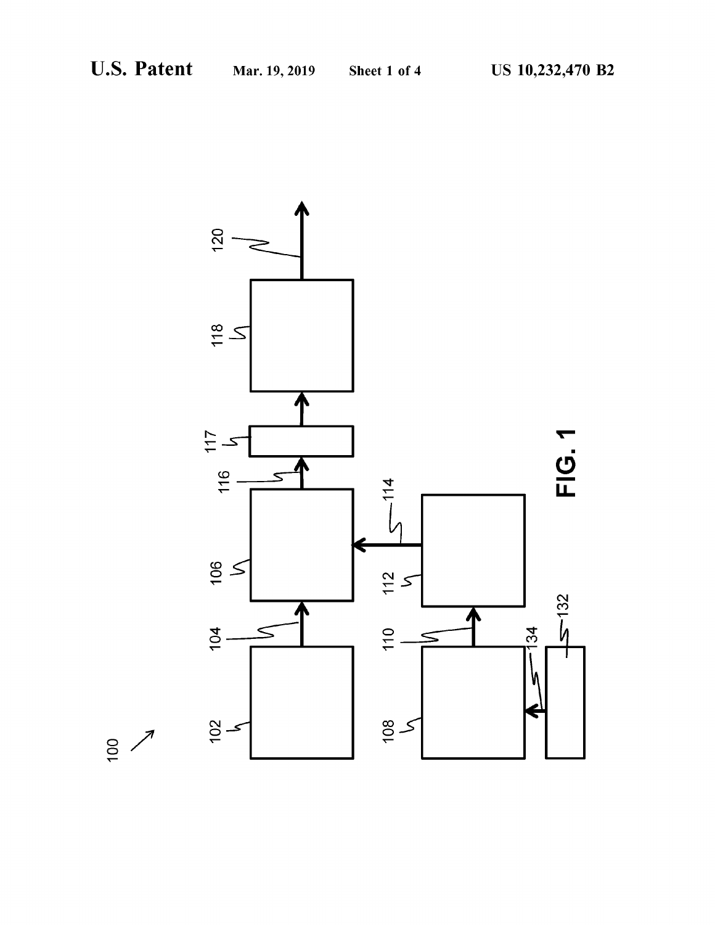

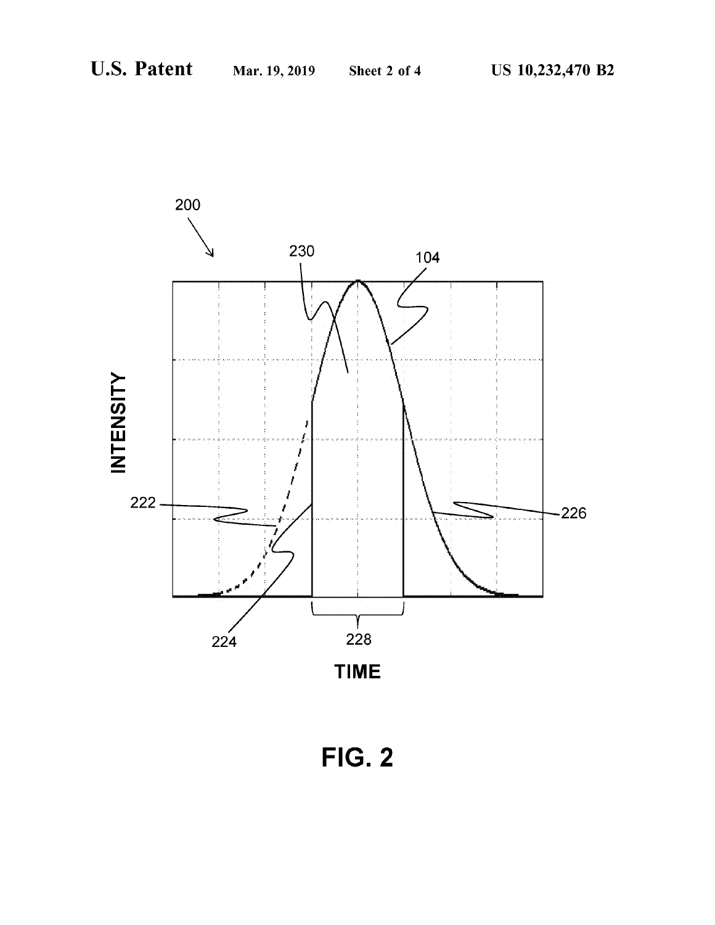

**FIG. 2**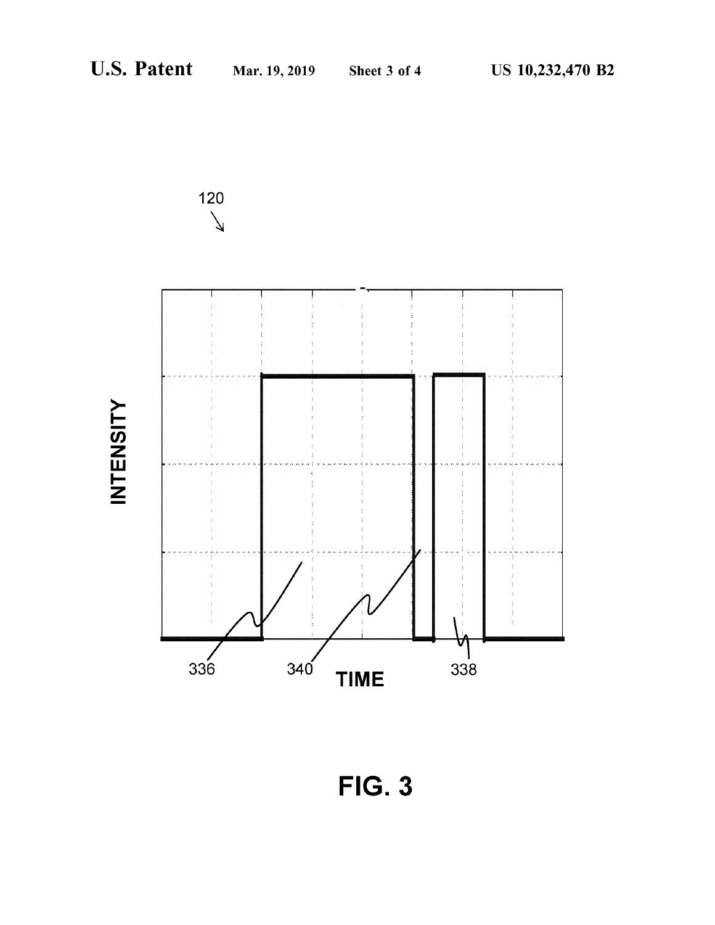120  $\searrow$ 



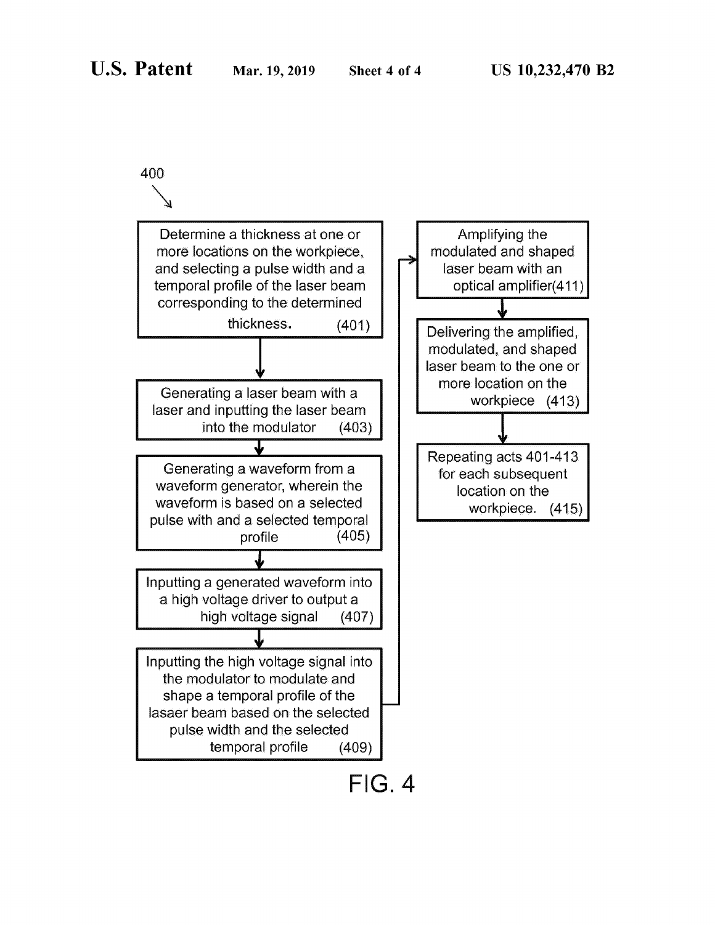

 $FIG. 4$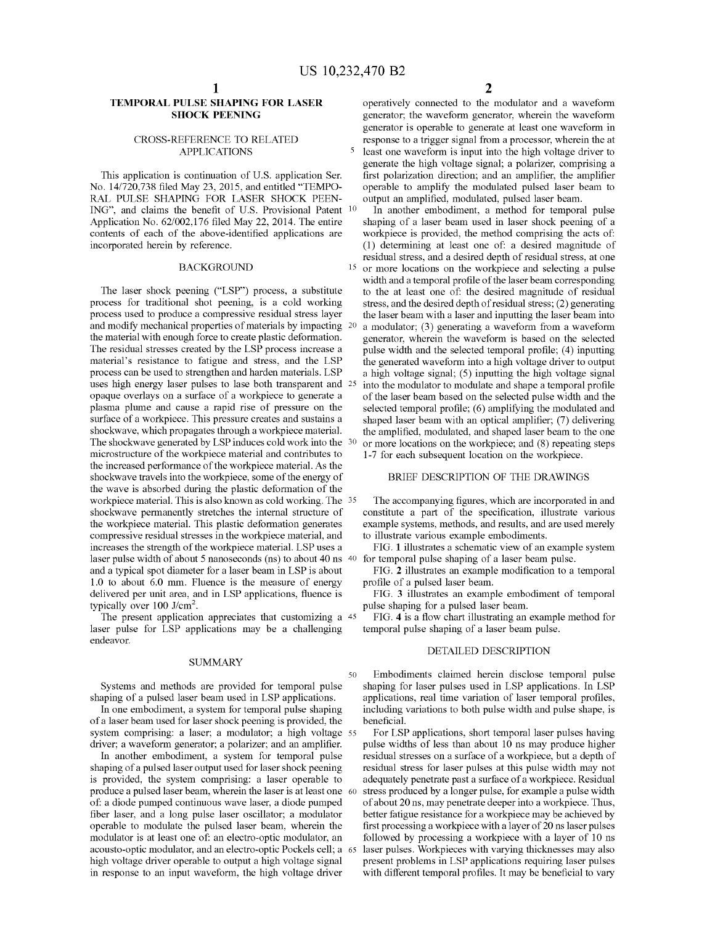50

# TEMPORAL PULSE SHAPING FOR LASER **SHOCK PEENING**

### **CROSS-REFERENCE TO RELATED APPLICATIONS**

This application is continuation of U.S. application Ser. No. 14/720,738 filed May 23, 2015, and entitled "TEMPO-RAL PULSE SHAPING FOR LASER SHOCK PEEN-ING", and claims the benefit of U.S. Provisional Patent 10 Application No. 62/002,176 filed May 22, 2014. The entire contents of each of the above-identified applications are incorporated herein by reference.

# **BACKGROUND**

The laser shock peening ("LSP") process, a substitute process for traditional shot peening, is a cold working process used to produce a compressive residual stress layer and modify mechanical properties of materials by impacting 20 the material with enough force to create plastic deformation. The residual stresses created by the LSP process increase a material's resistance to fatigue and stress, and the LSP process can be used to strengthen and harden materials. LSP uses high energy laser pulses to lase both transparent and 25 opaque overlays on a surface of a workpiece to generate a plasma plume and cause a rapid rise of pressure on the surface of a workpiece. This pressure creates and sustains a shockwave, which propagates through a workpiece material. The shockwave generated by LSP induces cold work into the 30 microstructure of the workpiece material and contributes to the increased performance of the workpiece material. As the shockwave travels into the workpiece, some of the energy of the wave is absorbed during the plastic deformation of the workpiece material. This is also known as cold working. The 35 shockwave permanently stretches the internal structure of the workpiece material. This plastic deformation generates compressive residual stresses in the workpiece material, and increases the strength of the workpiece material. LSP uses a laser pulse width of about 5 nanoseconds (ns) to about 40 ns 40 and a typical spot diameter for a laser beam in LSP is about 1.0 to about 6.0 mm. Fluence is the measure of energy delivered per unit area, and in LSP applications, fluence is typically over 100 J/cm<sup>2</sup>.

The present application appreciates that customizing a 45 laser pulse for LSP applications may be a challenging endeavor.

### **SUMMARY**

Systems and methods are provided for temporal pulse shaping of a pulsed laser beam used in LSP applications.

In one embodiment, a system for temporal pulse shaping of a laser beam used for laser shock peening is provided, the system comprising: a laser; a modulator; a high voltage 55 driver; a waveform generator; a polarizer; and an amplifier.

In another embodiment, a system for temporal pulse shaping of a pulsed laser output used for laser shock peening is provided, the system comprising: a laser operable to produce a pulsed laser beam, wherein the laser is at least one 60 of: a diode pumped continuous wave laser, a diode pumped fiber laser, and a long pulse laser oscillator; a modulator operable to modulate the pulsed laser beam, wherein the modulator is at least one of: an electro-optic modulator, an acousto-optic modulator, and an electro-optic Pockels cell; a 65 high voltage driver operable to output a high voltage signal in response to an input waveform, the high voltage driver

operatively connected to the modulator and a waveform generator; the waveform generator, wherein the waveform generator is operable to generate at least one waveform in response to a trigger signal from a processor, wherein the at least one waveform is input into the high voltage driver to generate the high voltage signal; a polarizer, comprising a first polarization direction; and an amplifier, the amplifier operable to amplify the modulated pulsed laser beam to output an amplified, modulated, pulsed laser beam.

In another embodiment, a method for temporal pulse shaping of a laser beam used in laser shock peening of a workpiece is provided, the method comprising the acts of: (1) determining at least one of: a desired magnitude of residual stress, and a desired depth of residual stress, at one <sup>15</sup> or more locations on the workpiece and selecting a pulse width and a temporal profile of the laser beam corresponding to the at least one of: the desired magnitude of residual stress, and the desired depth of residual stress; (2) generating the laser beam with a laser and inputting the laser beam into a modulator; (3) generating a waveform from a waveform generator, wherein the waveform is based on the selected pulse width and the selected temporal profile; (4) inputting the generated waveform into a high voltage driver to output a high voltage signal; (5) inputting the high voltage signal into the modulator to modulate and shape a temporal profile of the laser beam based on the selected pulse width and the selected temporal profile; (6) amplifying the modulated and shaped laser beam with an optical amplifier; (7) delivering the amplified, modulated, and shaped laser beam to the one or more locations on the workpiece; and (8) repeating steps 1-7 for each subsequent location on the workpiece.

# BRIEF DESCRIPTION OF THE DRAWINGS

The accompanying figures, which are incorporated in and constitute a part of the specification, illustrate various example systems, methods, and results, and are used merely to illustrate various example embodiments.

FIG. 1 illustrates a schematic view of an example system for temporal pulse shaping of a laser beam pulse.

FIG. 2 illustrates an example modification to a temporal profile of a pulsed laser beam.

FIG. 3 illustrates an example embodiment of temporal pulse shaping for a pulsed laser beam.

FIG. 4 is a flow chart illustrating an example method for temporal pulse shaping of a laser beam pulse.

# DETAILED DESCRIPTION

Embodiments claimed herein disclose temporal pulse shaping for laser pulses used in LSP applications. In LSP applications, real time variation of laser temporal profiles, including variations to both pulse width and pulse shape, is beneficial.

For LSP applications, short temporal laser pulses having pulse widths of less than about 10 ns may produce higher residual stresses on a surface of a workpiece, but a depth of residual stress for laser pulses at this pulse width may not adequately penetrate past a surface of a workpiece. Residual stress produced by a longer pulse, for example a pulse width of about 20 ns, may penetrate deeper into a workpiece. Thus, better fatigue resistance for a workpiece may be achieved by first processing a workpiece with a layer of 20 ns laser pulses followed by processing a workpiece with a layer of 10 ns laser pulses. Workpieces with varying thicknesses may also present problems in LSP applications requiring laser pulses with different temporal profiles. It may be beneficial to vary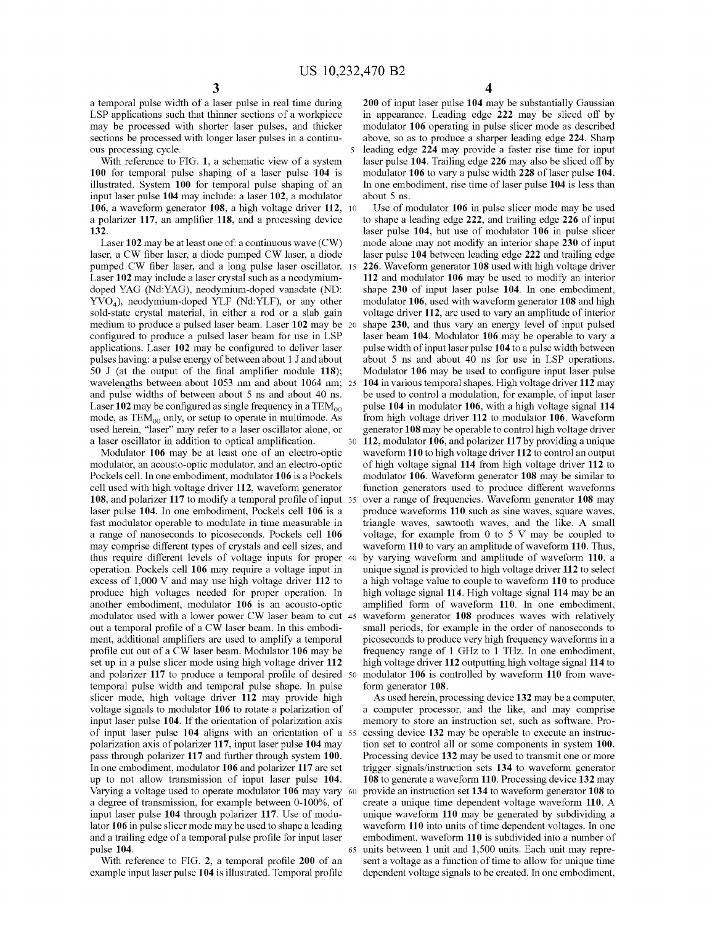a temporal pulse width of a laser pulse in real time during LSP applications such that thinner sections of a workpiece may be processed with shorter laser pulses, and thicker sections be processed with longer laser pulses in a continuous processing cycle.

With reference to FIG. 1, a schematic view of a system 100 for temporal pulse shaping of a laser pulse 104 is illustrated. System 100 for temporal pulse shaping of an input laser pulse 104 may include: a laser 102, a modulator 106, a waveform generator 108, a high voltage driver 112, 10 a polarizer 117, an amplifier 118, and a processing device 132.

Laser  $102$  may be at least one of: a continuous wave  $(CW)$ laser, a CW fiber laser, a diode pumped CW laser, a diode pumped CW fiber laser, and a long pulse laser oscillator. 15 Laser 102 may include a laser crystal such as a neodymiumdoped YAG (Nd:YAG), neodymium-doped vanadate (ND: YVO<sub>4</sub>), neodymium-doped YLF (Nd:YLF), or any other sold-state crystal material, in either a rod or a slab gain medium to produce a pulsed laser beam. Laser 102 may be 20 configured to produce a pulsed laser beam for use in LSP applications. Laser 102 may be configured to deliver laser pulses having: a pulse energy of between about 1 J and about 50 J (at the output of the final amplifier module  $118$ ); wavelengths between about 1053 nm and about 1064 nm; 25 and pulse widths of between about 5 ns and about 40 ns. Laser 102 may be configured as single frequency in a TEM<sub>00</sub> mode, as  $TEM_{00}$  only, or setup to operate in multimode. As used herein, "laser" may refer to a laser oscillator alone, or a laser oscillator in addition to optical amplification.

Modulator 106 may be at least one of an electro-optic modulator, an acousto-optic modulator, and an electro-optic Pockels cell. In one embodiment, modulator 106 is a Pockels cell used with high voltage driver 112, waveform generator 108, and polarizer 117 to modify a temporal profile of input 35 laser pulse 104. In one embodiment, Pockels cell 106 is a fast modulator operable to modulate in time measurable in a range of nanoseconds to picoseconds. Pockels cell 106 may comprise different types of crystals and cell sizes, and thus require different levels of voltage inputs for proper 40 operation. Pockels cell 106 may require a voltage input in excess of 1,000 V and may use high voltage driver 112 to produce high voltages needed for proper operation. In another embodiment, modulator 106 is an acousto-optic modulator used with a lower power CW laser beam to cut 45 out a temporal profile of a CW laser beam. In this embodiment, additional amplifiers are used to amplify a temporal profile cut out of a CW laser beam. Modulator 106 may be set up in a pulse slicer mode using high voltage driver 112 and polarizer 117 to produce a temporal profile of desired 50 temporal pulse width and temporal pulse shape. In pulse slicer mode, high voltage driver 112 may provide high voltage signals to modulator 106 to rotate a polarization of input laser pulse 104. If the orientation of polarization axis of input laser pulse 104 aligns with an orientation of a 55 polarization axis of polarizer 117, input laser pulse 104 may pass through polarizer 117 and further through system 100. In one embodiment, modulator 106 and polarizer 117 are set up to not allow transmission of input laser pulse 104. Varying a voltage used to operate modulator 106 may vary 60 a degree of transmission, for example between 0-100%, of input laser pulse 104 through polarizer 117. Use of modulator 106 in pulse slicer mode may be used to shape a leading and a trailing edge of a temporal pulse profile for input laser pulse 104. 65

With reference to FIG. 2, a temporal profile 200 of an example input laser pulse 104 is illustrated. Temporal profile 4

200 of input laser pulse 104 may be substantially Gaussian in appearance. Leading edge 222 may be sliced off by modulator 106 operating in pulse slicer mode as described above, so as to produce a sharper leading edge 224. Sharp leading edge 224 may provide a faster rise time for input laser pulse 104. Trailing edge 226 may also be sliced off by modulator 106 to vary a pulse width 228 of laser pulse 104. In one embodiment, rise time of laser pulse 104 is less than about 5 ns.

Use of modulator 106 in pulse slicer mode may be used to shape a leading edge 222, and trailing edge 226 of input laser pulse 104, but use of modulator 106 in pulse slicer mode alone may not modify an interior shape 230 of input laser pulse 104 between leading edge 222 and trailing edge 226. Waveform generator 108 used with high voltage driver 112 and modulator 106 may be used to modify an interior shape 230 of input laser pulse 104. In one embodiment, modulator 106, used with waveform generator 108 and high voltage driver 112, are used to vary an amplitude of interior shape 230, and thus vary an energy level of input pulsed laser beam 104. Modulator 106 may be operable to vary a pulse width of input laser pulse 104 to a pulse width between about 5 ns and about 40 ns for use in LSP operations. Modulator 106 may be used to configure input laser pulse 104 in various temporal shapes. High voltage driver 112 may be used to control a modulation, for example, of input laser pulse 104 in modulator 106, with a high voltage signal 114 from high voltage driver 112 to modulator 106. Waveform generator 108 may be operable to control high voltage driver 112, modulator 106, and polarizer 117 by providing a unique waveform 110 to high voltage driver 112 to control an output of high voltage signal 114 from high voltage driver 112 to modulator 106. Waveform generator 108 may be similar to function generators used to produce different waveforms over a range of frequencies. Waveform generator 108 may produce waveforms 110 such as sine waves, square waves, triangle waves, sawtooth waves, and the like. A small voltage, for example from 0 to 5 V may be coupled to waveform 110 to vary an amplitude of waveform 110. Thus, by varying waveform and amplitude of waveform 110, a unique signal is provided to high voltage driver 112 to select a high voltage value to couple to waveform 110 to produce high voltage signal 114. High voltage signal 114 may be an amplified form of waveform 110. In one embodiment, waveform generator 108 produces waves with relatively small periods, for example in the order of nanoseconds to picoseconds to produce very high frequency waveforms in a frequency range of 1 GHz to 1 THz. In one embodiment, high voltage driver 112 outputting high voltage signal 114 to modulator 106 is controlled by waveform 110 from waveform generator 108.

As used herein, processing device 132 may be a computer, a computer processor, and the like, and may comprise memory to store an instruction set, such as software. Processing device 132 may be operable to execute an instruction set to control all or some components in system 100. Processing device 132 may be used to transmit one or more trigger signals/instruction sets 134 to waveform generator 108 to generate a waveform 110. Processing device 132 may provide an instruction set 134 to waveform generator 108 to create a unique time dependent voltage waveform 110. A unique waveform 110 may be generated by subdividing a waveform 110 into units of time dependent voltages. In one embodiment, waveform 110 is subdivided into a number of units between 1 unit and 1,500 units. Each unit may represent a voltage as a function of time to allow for unique time dependent voltage signals to be created. In one embodiment,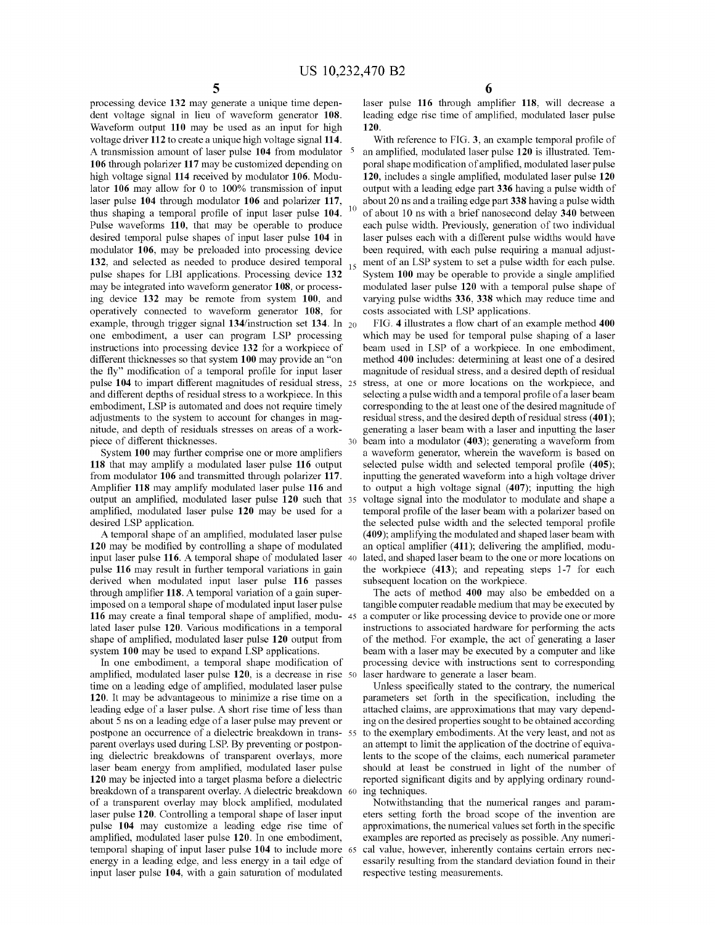processing device 132 may generate a unique time dependent voltage signal in lieu of waveform generator 108. Waveform output 110 may be used as an input for high voltage driver 112 to create a unique high voltage signal 114. A transmission amount of laser pulse 104 from modulator 106 through polarizer 117 may be customized depending on high voltage signal 114 received by modulator 106. Modulator 106 may allow for 0 to 100% transmission of input laser pulse 104 through modulator 106 and polarizer 117, thus shaping a temporal profile of input laser pulse 104. Pulse waveforms 110, that may be operable to produce desired temporal pulse shapes of input laser pulse 104 in modulator 106, may be preloaded into processing device 132, and selected as needed to produce desired temporal pulse shapes for LBI applications. Processing device 132 may be integrated into waveform generator 108, or processing device 132 may be remote from system 100, and operatively connected to waveform generator 108, for example, through trigger signal  $134$ /instruction set 134. In  $_{20}$ one embodiment, a user can program LSP processing instructions into processing device 132 for a workpiece of different thicknesses so that system 100 may provide an "on the fly" modification of a temporal profile for input laser pulse 104 to impart different magnitudes of residual stress, 25 and different depths of residual stress to a workpiece. In this embodiment, LSP is automated and does not require timely adjustments to the system to account for changes in magnitude, and depth of residuals stresses on areas of a workpiece of different thicknesses.

System 100 may further comprise one or more amplifiers 118 that may amplify a modulated laser pulse 116 output from modulator 106 and transmitted through polarizer 117. Amplifier 118 may amplify modulated laser pulse 116 and output an amplified, modulated laser pulse 120 such that 35 amplified, modulated laser pulse 120 may be used for a desired LSP application.

A temporal shape of an amplified, modulated laser pulse 120 may be modified by controlling a shape of modulated input laser pulse 116. A temporal shape of modulated laser 40 pulse 116 may result in further temporal variations in gain derived when modulated input laser pulse 116 passes through amplifier 118. A temporal variation of a gain superimposed on a temporal shape of modulated input laser pulse 116 may create a final temporal shape of amplified, modu-45 lated laser pulse 120. Various modifications in a temporal shape of amplified, modulated laser pulse 120 output from system 100 may be used to expand LSP applications.

In one embodiment, a temporal shape modification of amplified, modulated laser pulse 120, is a decrease in rise 50 time on a leading edge of amplified, modulated laser pulse 120. It may be advantageous to minimize a rise time on a leading edge of a laser pulse. A short rise time of less than about 5 ns on a leading edge of a laser pulse may prevent or postpone an occurrence of a dielectric breakdown in trans- 55 parent overlays used during LSP. By preventing or postponing dielectric breakdowns of transparent overlays, more laser beam energy from amplified, modulated laser pulse 120 may be injected into a target plasma before a dielectric breakdown of a transparent overlay. A dielectric breakdown 60 of a transparent overlay may block amplified, modulated laser pulse 120. Controlling a temporal shape of laser input pulse 104 may customize a leading edge rise time of amplified, modulated laser pulse 120. In one embodiment, temporal shaping of input laser pulse 104 to include more 65 energy in a leading edge, and less energy in a tail edge of input laser pulse 104, with a gain saturation of modulated

6

laser pulse 116 through amplifier 118, will decrease a leading edge rise time of amplified, modulated laser pulse 120.

With reference to FIG. 3, an example temporal profile of an amplified, modulated laser pulse 120 is illustrated. Temporal shape modification of amplified, modulated laser pulse 120, includes a single amplified, modulated laser pulse 120 output with a leading edge part 336 having a pulse width of about 20 ns and a trailing edge part 338 having a pulse width of about 10 ns with a brief nanosecond delay 340 between each pulse width. Previously, generation of two individual laser pulses each with a different pulse widths would have been required, with each pulse requiring a manual adjustment of an LSP system to set a pulse width for each pulse. System 100 may be operable to provide a single amplified modulated laser pulse 120 with a temporal pulse shape of varying pulse widths 336, 338 which may reduce time and costs associated with LSP applications.

FIG. 4 illustrates a flow chart of an example method 400 which may be used for temporal pulse shaping of a laser beam used in LSP of a workpiece. In one embodiment, method 400 includes: determining at least one of a desired magnitude of residual stress, and a desired depth of residual stress, at one or more locations on the workpiece, and selecting a pulse width and a temporal profile of a laser beam corresponding to the at least one of the desired magnitude of residual stress, and the desired depth of residual stress (401); generating a laser beam with a laser and inputting the laser beam into a modulator  $(403)$ ; generating a waveform from a waveform generator, wherein the waveform is based on selected pulse width and selected temporal profile (405); inputting the generated waveform into a high voltage driver to output a high voltage signal  $(407)$ ; inputting the high voltage signal into the modulator to modulate and shape a temporal profile of the laser beam with a polarizer based on the selected pulse width and the selected temporal profile (409); amplifying the modulated and shaped laser beam with an optical amplifier (411); delivering the amplified, modulated, and shaped laser beam to the one or more locations on the workpiece  $(413)$ ; and repeating steps 1-7 for each subsequent location on the workpiece.

The acts of method 400 may also be embedded on a tangible computer readable medium that may be executed by a computer or like processing device to provide one or more instructions to associated hardware for performing the acts of the method. For example, the act of generating a laser beam with a laser may be executed by a computer and like processing device with instructions sent to corresponding laser hardware to generate a laser beam.

Unless specifically stated to the contrary, the numerical parameters set forth in the specification, including the attached claims, are approximations that may vary depending on the desired properties sought to be obtained according to the exemplary embodiments. At the very least, and not as an attempt to limit the application of the doctrine of equivalents to the scope of the claims, each numerical parameter should at least be construed in light of the number of reported significant digits and by applying ordinary rounding techniques.

Notwithstanding that the numerical ranges and parameters setting forth the broad scope of the invention are approximations, the numerical values set forth in the specific examples are reported as precisely as possible. Any numerical value, however, inherently contains certain errors necessarily resulting from the standard deviation found in their respective testing measurements.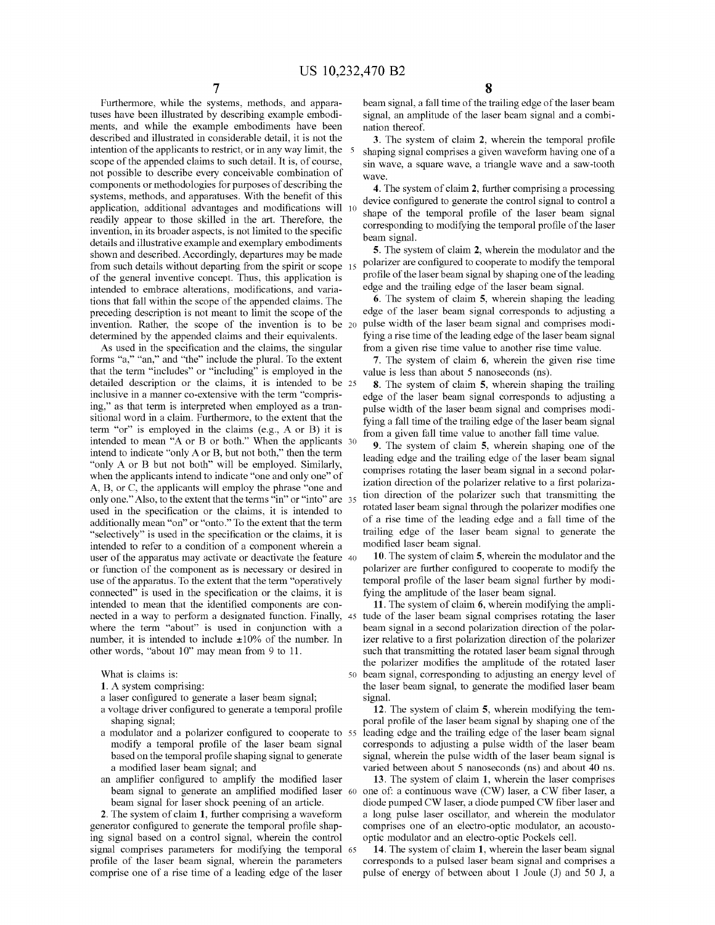Furthermore, while the systems, methods, and apparatuses have been illustrated by describing example embodiments, and while the example embodiments have been described and illustrated in considerable detail, it is not the intention of the applicants to restrict, or in any way limit, the 5 scope of the appended claims to such detail. It is, of course, not possible to describe every conceivable combination of components or methodologies for purposes of describing the systems, methods, and apparatuses. With the benefit of this application, additional advantages and modifications will 10 readily appear to those skilled in the art. Therefore, the invention, in its broader aspects, is not limited to the specific details and illustrative example and exemplary embodiments shown and described. Accordingly, departures may be made from such details without departing from the spirit or scope 15 of the general inventive concept. Thus, this application is intended to embrace alterations, modifications, and variations that fall within the scope of the appended claims. The preceding description is not meant to limit the scope of the invention. Rather, the scope of the invention is to be 20 determined by the appended claims and their equivalents.

As used in the specification and the claims, the singular forms "a," "an," and "the" include the plural. To the extent that the term "includes" or "including" is employed in the detailed description or the claims, it is intended to be 25 inclusive in a manner co-extensive with the term "comprising," as that term is interpreted when employed as a transitional word in a claim. Furthermore, to the extent that the term "or" is employed in the claims (e.g., A or B) it is intended to mean "A or B or both." When the applicants 30 intend to indicate "only A or B, but not both," then the term "only A or B but not both" will be employed. Similarly, when the applicants intend to indicate "one and only one" of A, B, or C, the applicants will employ the phrase "one and only one." Also, to the extent that the terms "in" or "into" are 35 used in the specification or the claims, it is intended to additionally mean "on" or "onto." To the extent that the term "selectively" is used in the specification or the claims, it is intended to refer to a condition of a component wherein a user of the apparatus may activate or deactivate the feature 40 or function of the component as is necessary or desired in use of the apparatus. To the extent that the term "operatively connected" is used in the specification or the claims, it is intended to mean that the identified components are connected in a way to perform a designated function. Finally, 45 where the term "about" is used in conjunction with a number, it is intended to include  $\pm 10\%$  of the number. In other words, "about 10" may mean from 9 to 11.

What is claims is:

- 1. A system comprising:
- a laser configured to generate a laser beam signal;
- a voltage driver configured to generate a temporal profile shaping signal;
- a modulator and a polarizer configured to cooperate to 55 modify a temporal profile of the laser beam signal based on the temporal profile shaping signal to generate a modified laser beam signal; and
- an amplifier configured to amplify the modified laser beam signal to generate an amplified modified laser 60 beam signal for laser shock peening of an article.

2. The system of claim 1, further comprising a waveform generator configured to generate the temporal profile shaping signal based on a control signal, wherein the control signal comprises parameters for modifying the temporal 65 profile of the laser beam signal, wherein the parameters comprise one of a rise time of a leading edge of the laser

beam signal, a fall time of the trailing edge of the laser beam signal, an amplitude of the laser beam signal and a combination thereof.

3. The system of claim 2, wherein the temporal profile shaping signal comprises a given waveform having one of a sin wave, a square wave, a triangle wave and a saw-tooth wave.

4. The system of claim 2, further comprising a processing device configured to generate the control signal to control a shape of the temporal profile of the laser beam signal corresponding to modifying the temporal profile of the laser beam signal.

5. The system of claim 2, wherein the modulator and the polarizer are configured to cooperate to modify the temporal profile of the laser beam signal by shaping one of the leading edge and the trailing edge of the laser beam signal.

6. The system of claim 5, wherein shaping the leading edge of the laser beam signal corresponds to adjusting a pulse width of the laser beam signal and comprises modifying a rise time of the leading edge of the laser beam signal from a given rise time value to another rise time value.

7. The system of claim 6, wherein the given rise time value is less than about 5 nanoseconds (ns).

8. The system of claim 5, wherein shaping the trailing edge of the laser beam signal corresponds to adjusting a pulse width of the laser beam signal and comprises modifying a fall time of the trailing edge of the laser beam signal from a given fall time value to another fall time value.

9. The system of claim 5, wherein shaping one of the leading edge and the trailing edge of the laser beam signal comprises rotating the laser beam signal in a second polarization direction of the polarizer relative to a first polarization direction of the polarizer such that transmitting the rotated laser beam signal through the polarizer modifies one of a rise time of the leading edge and a fall time of the trailing edge of the laser beam signal to generate the modified laser beam signal.

10. The system of claim 5, wherein the modulator and the polarizer are further configured to cooperate to modify the temporal profile of the laser beam signal further by modifying the amplitude of the laser beam signal.

11. The system of claim 6, wherein modifying the amplitude of the laser beam signal comprises rotating the laser beam signal in a second polarization direction of the polarizer relative to a first polarization direction of the polarizer such that transmitting the rotated laser beam signal through the polarizer modifies the amplitude of the rotated laser 50 beam signal, corresponding to adjusting an energy level of the laser beam signal, to generate the modified laser beam signal.

12. The system of claim 5, wherein modifying the temporal profile of the laser beam signal by shaping one of the leading edge and the trailing edge of the laser beam signal corresponds to adjusting a pulse width of the laser beam signal, wherein the pulse width of the laser beam signal is varied between about 5 nanoseconds (ns) and about 40 ns.

13. The system of claim 1, wherein the laser comprises one of: a continuous wave (CW) laser, a CW fiber laser, a diode pumped CW laser, a diode pumped CW fiber laser and a long pulse laser oscillator, and wherein the modulator comprises one of an electro-optic modulator, an acoustooptic modulator and an electro-optic Pockels cell.

14. The system of claim 1, wherein the laser beam signal corresponds to a pulsed laser beam signal and comprises a pulse of energy of between about 1 Joule (J) and 50 J, a